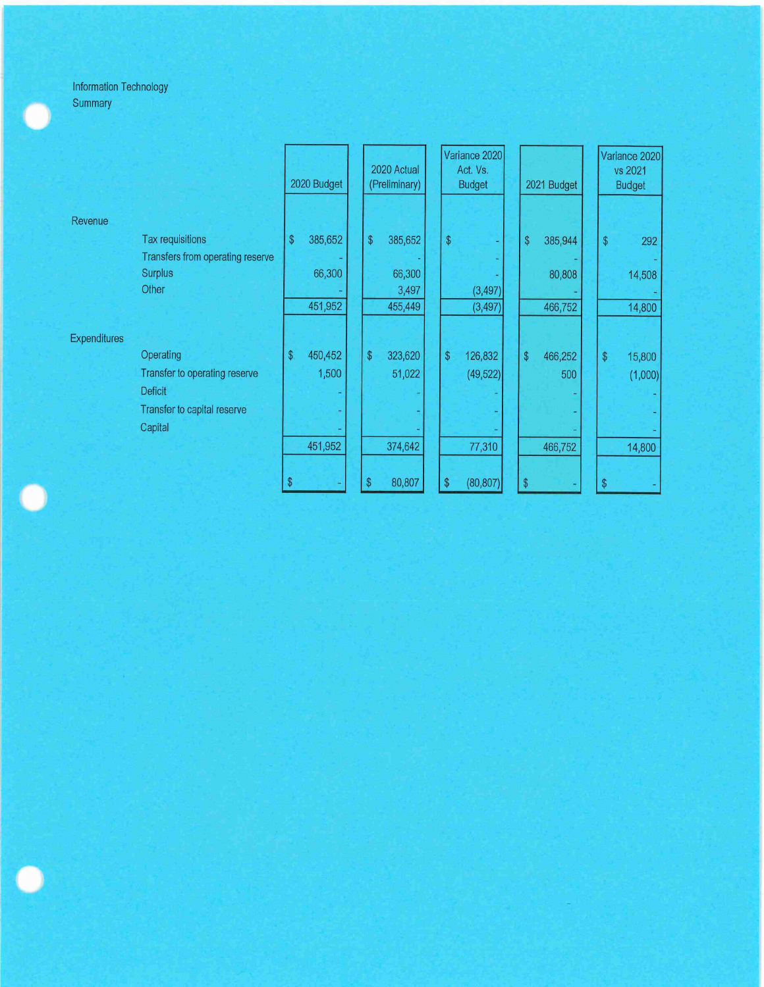|              |                                  | 2020 Budget    |         | 2020 Actual<br>(Preliminary)                  |         | Variance 2020<br>Act. Vs.<br><b>Budget</b> |           | 2021 Budget |         | Variance 2020<br>vs 2021<br><b>Budget</b>         |         |
|--------------|----------------------------------|----------------|---------|-----------------------------------------------|---------|--------------------------------------------|-----------|-------------|---------|---------------------------------------------------|---------|
| Revenue      |                                  |                |         |                                               |         |                                            |           |             |         |                                                   |         |
|              | Tax requisitions                 | \$             | 385,652 | $\, \, \raisebox{12pt}{$\scriptstyle \circ$}$ | 385,652 | $\sqrt[6]{\frac{1}{2}}$                    |           | \$          | 385,944 | $\, \, \raisebox{-1.5pt}{\text{\circle*{1.5}}}\,$ | 292     |
|              | Transfers from operating reserve |                |         |                                               |         |                                            |           |             |         |                                                   |         |
|              | <b>Surplus</b>                   |                | 66,300  |                                               | 66,300  |                                            |           |             | 80,808  |                                                   | 14,508  |
|              | Other                            |                | 451,952 |                                               | 3,497   |                                            | (3, 497)  |             |         |                                                   |         |
|              |                                  |                |         |                                               | 455,449 |                                            | (3, 497)  |             | 466,752 |                                                   | 14,800  |
| Expenditures |                                  |                |         |                                               |         |                                            |           |             |         |                                                   |         |
|              | Operating                        | $\mathfrak{S}$ | 450,452 | \$                                            | 323,620 | \$                                         | 126,832   | \$          | 466,252 | $\sqrt[6]{\frac{1}{2}}$                           | 15,800  |
|              | Transfer to operating reserve    |                | 1,500   |                                               | 51,022  |                                            | (49, 522) |             | 500     |                                                   | (1,000) |
|              | <b>Deficit</b>                   |                |         |                                               |         |                                            |           |             |         |                                                   |         |
|              | Transfer to capital reserve      |                |         |                                               |         |                                            |           |             |         |                                                   |         |
|              | Capital                          |                |         |                                               |         |                                            |           |             |         |                                                   |         |
|              |                                  |                | 451,952 |                                               | 374,642 |                                            | 77,310    |             | 466,752 |                                                   | 14,800  |
|              |                                  |                |         |                                               |         |                                            |           |             |         |                                                   |         |
|              |                                  |                |         | \$                                            | 80,807  | \$                                         | (80, 807) | \$          |         |                                                   |         |